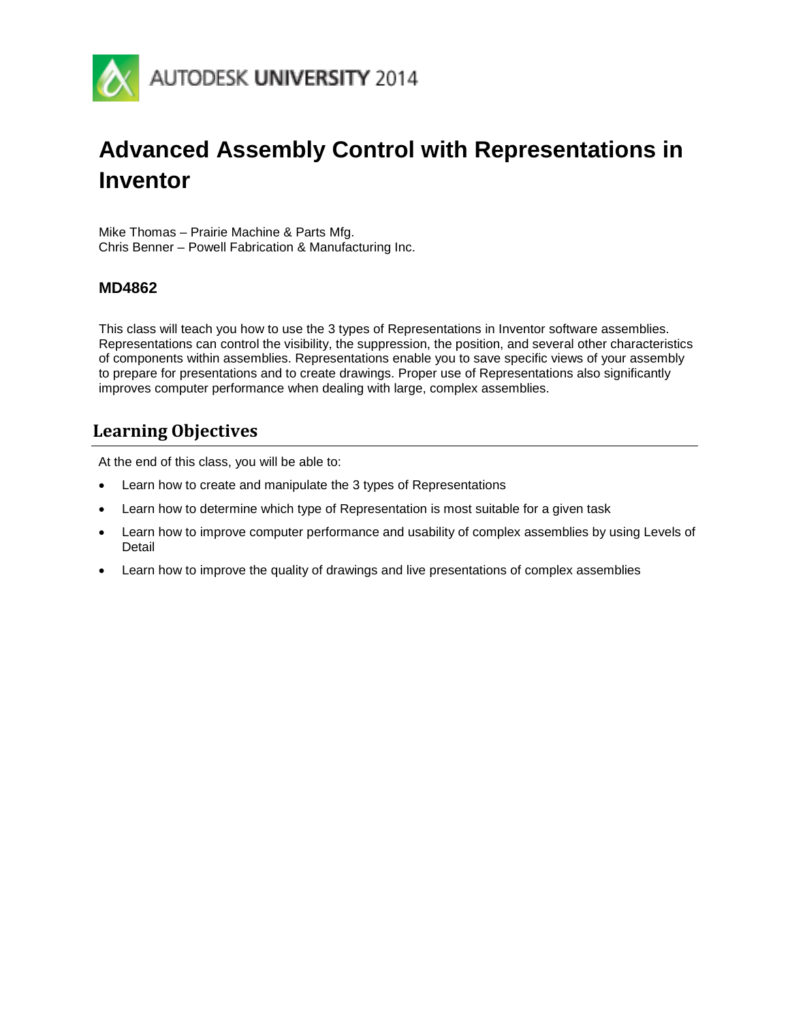

# **Advanced Assembly Control with Representations in Inventor**

Mike Thomas – Prairie Machine & Parts Mfg. Chris Benner – Powell Fabrication & Manufacturing Inc.

#### **MD4862**

This class will teach you how to use the 3 types of Representations in Inventor software assemblies. Representations can control the visibility, the suppression, the position, and several other characteristics of components within assemblies. Representations enable you to save specific views of your assembly to prepare for presentations and to create drawings. Proper use of Representations also significantly improves computer performance when dealing with large, complex assemblies.

### <span id="page-0-0"></span>**Learning Objectives**

At the end of this class, you will be able to:

- Learn how to create and manipulate the 3 types of Representations
- Learn how to determine which type of Representation is most suitable for a given task
- Learn how to improve computer performance and usability of complex assemblies by using Levels of Detail
- Learn how to improve the quality of drawings and live presentations of complex assemblies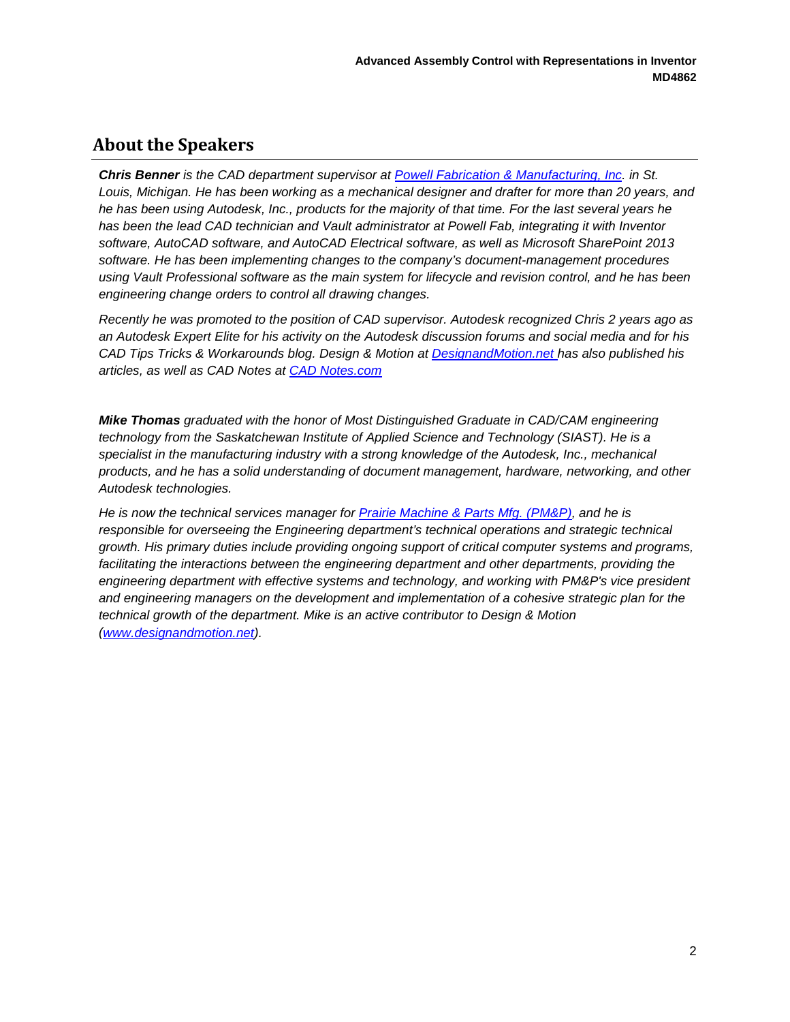### <span id="page-1-0"></span>**About the Speakers**

*Chris Benner is the CAD department supervisor at [Powell Fabrication & Manufacturing, Inc.](http://www.powellfab.com/) in St. Louis, Michigan. He has been working as a mechanical designer and drafter for more than 20 years, and he has been using Autodesk, Inc., products for the majority of that time. For the last several years he has been the lead CAD technician and Vault administrator at Powell Fab, integrating it with Inventor software, AutoCAD software, and AutoCAD Electrical software, as well as Microsoft SharePoint 2013 software. He has been implementing changes to the company's document-management procedures using Vault Professional software as the main system for lifecycle and revision control, and he has been engineering change orders to control all drawing changes.* 

*Recently he was promoted to the position of CAD supervisor. Autodesk recognized Chris 2 years ago as an Autodesk Expert Elite for his activity on the Autodesk discussion forums and social media and for his CAD Tips Tricks & Workarounds blog. Design & Motion at [DesignandMotion.net h](http://www.designandmotion.net/)as also published his articles, as well as CAD Notes at [CAD Notes.com](http://www.cad-notes.com/)*

*Mike Thomas graduated with the honor of Most Distinguished Graduate in CAD/CAM engineering technology from the Saskatchewan Institute of Applied Science and Technology (SIAST). He is a specialist in the manufacturing industry with a strong knowledge of the Autodesk, Inc., mechanical products, and he has a solid understanding of document management, hardware, networking, and other Autodesk technologies.* 

*He is now the technical services manager for [Prairie Machine & Parts Mfg. \(PM&P\),](http://www.pmparts.com/) and he is responsible for overseeing the Engineering department's technical operations and strategic technical growth. His primary duties include providing ongoing support of critical computer systems and programs,*  facilitating the interactions between the engineering department and other departments, providing the *engineering department with effective systems and technology, and working with PM&P's vice president and engineering managers on the development and implementation of a cohesive strategic plan for the technical growth of the department. Mike is an active contributor to Design & Motion [\(www.designandmotion.net\)](http://www.designandmotion.net/).*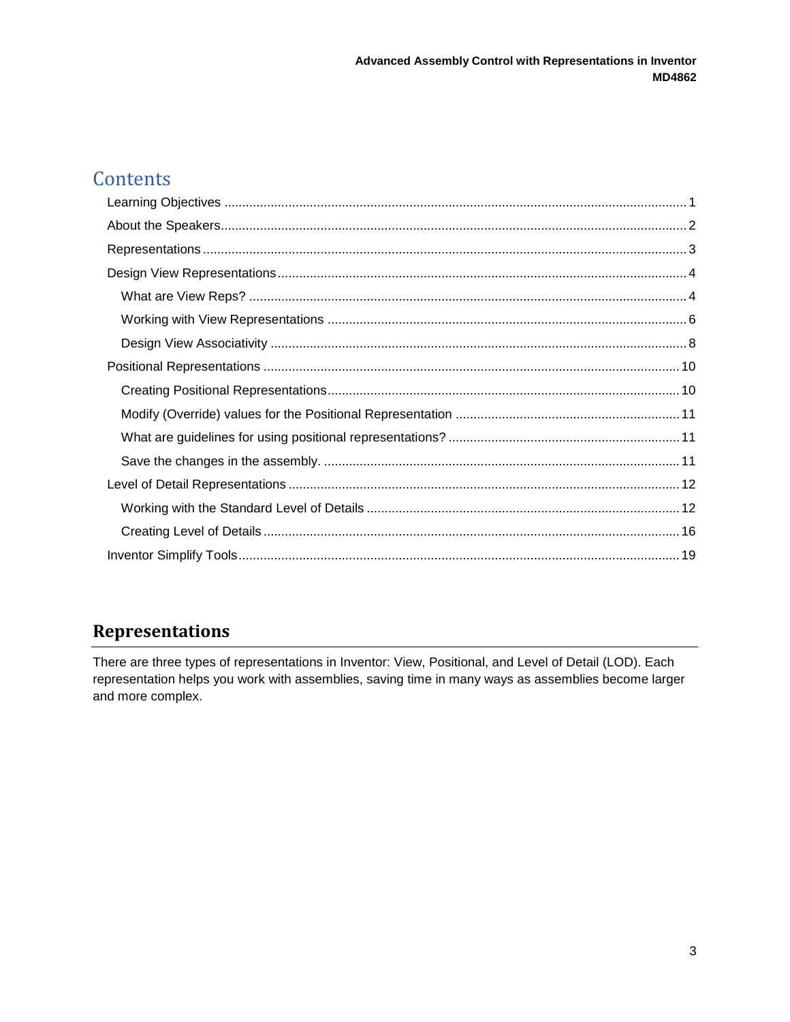# Contents

# <span id="page-2-0"></span>**Representations**

There are three types of representations in Inventor: View, Positional, and Level of Detail (LOD). Each representation helps you work with assemblies, saving time in many ways as assemblies become larger and more complex.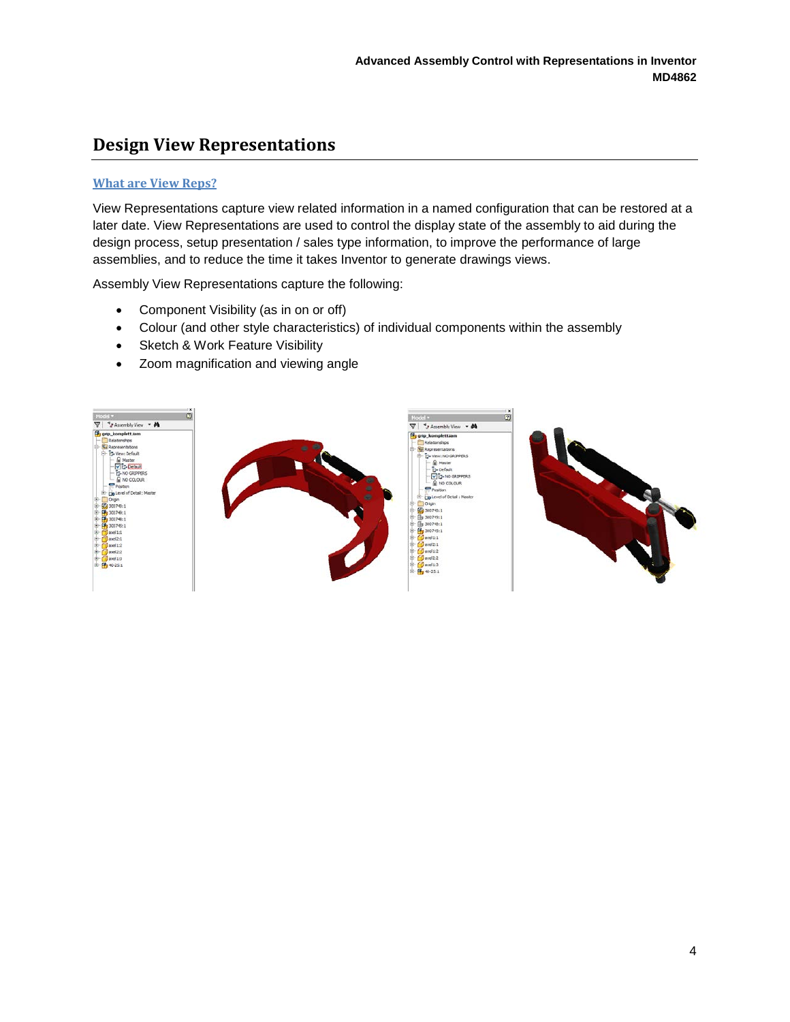# <span id="page-3-0"></span>**Design View Representations**

#### <span id="page-3-1"></span>**What are View Reps?**

View Representations capture view related information in a named configuration that can be restored at a later date. View Representations are used to control the display state of the assembly to aid during the design process, setup presentation / sales type information, to improve the performance of large assemblies, and to reduce the time it takes Inventor to generate drawings views.

Assembly View Representations capture the following:

- Component Visibility (as in on or off)
- Colour (and other style characteristics) of individual components within the assembly
- Sketch & Work Feature Visibility
- Zoom magnification and viewing angle

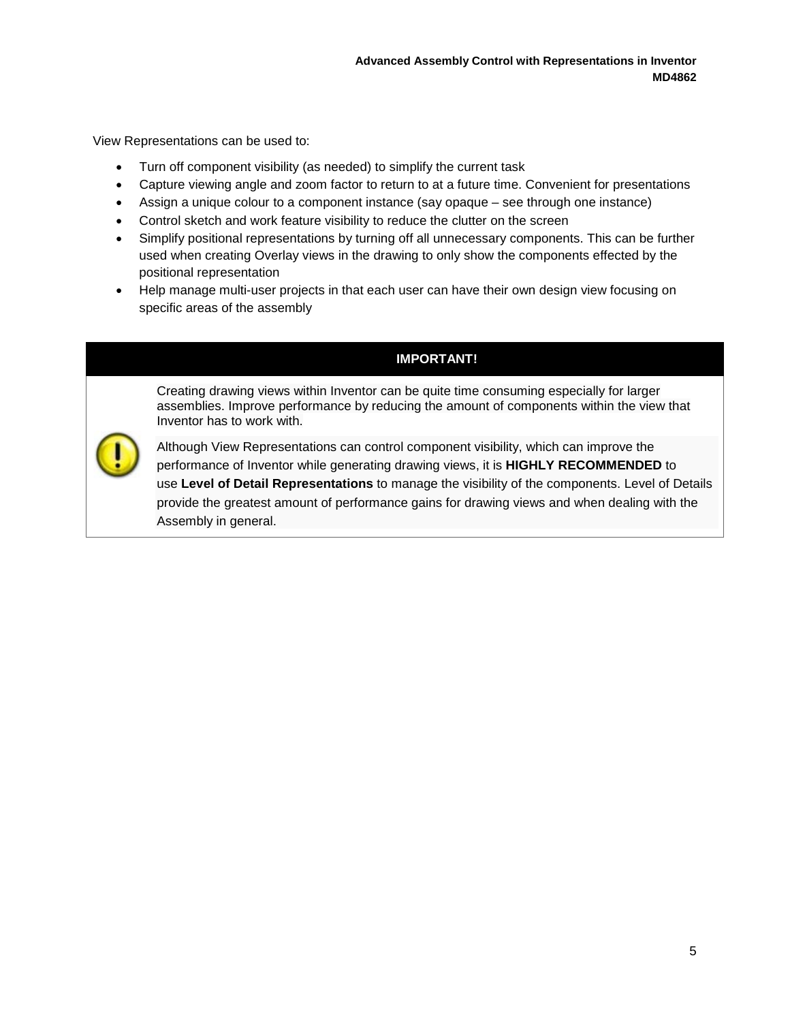View Representations can be used to:

- Turn off component visibility (as needed) to simplify the current task
- Capture viewing angle and zoom factor to return to at a future time. Convenient for presentations
- Assign a unique colour to a component instance (say opaque see through one instance)
- Control sketch and work feature visibility to reduce the clutter on the screen
- Simplify positional representations by turning off all unnecessary components. This can be further used when creating Overlay views in the drawing to only show the components effected by the positional representation
- Help manage multi-user projects in that each user can have their own design view focusing on specific areas of the assembly

#### **IMPORTANT!**

Creating drawing views within Inventor can be quite time consuming especially for larger assemblies. Improve performance by reducing the amount of components within the view that Inventor has to work with.



Although View Representations can control component visibility, which can improve the performance of Inventor while generating drawing views, it is **HIGHLY RECOMMENDED** to use **Level of Detail Representations** to manage the visibility of the components. Level of Details provide the greatest amount of performance gains for drawing views and when dealing with the Assembly in general.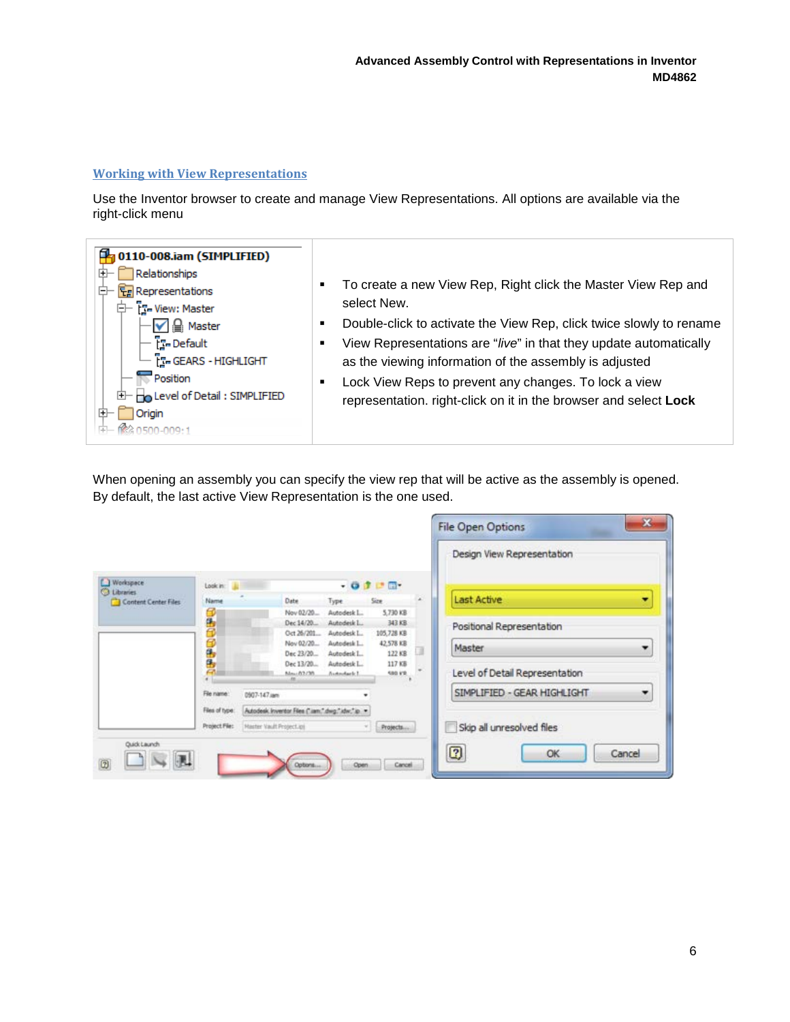#### <span id="page-5-0"></span>**Working with View Representations**

Use the Inventor browser to create and manage View Representations. All options are available via the right-click menu



- **To create a new View Rep, Right click the Master View Rep and** select New.
- **-** Double-click to activate the View Rep, click twice slowly to rename
- View Representations are "*live*" in that they update automatically as the viewing information of the assembly is adjusted
- **EXEC** Lock View Reps to prevent any changes. To lock a view representation. right-click on it in the browser and select **Lock**

When opening an assembly you can specify the view rep that will be active as the assembly is opened. By default, the last active View Representation is the one used.

|                                            |                            |                                                        |                      | Design View Representation       |
|--------------------------------------------|----------------------------|--------------------------------------------------------|----------------------|----------------------------------|
| Workspace                                  | Look in:                   |                                                        | $-010$               |                                  |
| <b>C</b> Libraries<br>Content Center Files | Name                       | Date<br>Type                                           | Size                 | <b>Last Active</b><br>۰          |
|                                            | 2                          | Nov 02/20<br>Autodesk L.                               | 5.730 KB             |                                  |
|                                            | Θ                          | Dec 14/20<br>Autodeuk L.<br>Oct 26/201.<br>Autodesk L. | 343 KB<br>105,728 KB | Positional Representation        |
|                                            |                            | Nov 02/20<br>Autodesk L.                               | 42,578 KB            |                                  |
|                                            |                            | Dec 23/20<br>Autodesk L.                               | 122 KB               | Master<br>۰                      |
|                                            | 医弗雷奇                       | Dec 13/20.<br>Autodesk L.<br>Mau 03/30<br>Auto-Auck 1  | 117 KB<br>sag int    | Level of Detail Representation   |
|                                            |                            | m                                                      |                      |                                  |
|                                            | File name:<br>0907-147 Jan |                                                        |                      | SIMPLIFIED - GEAR HIGHLIGHT<br>۰ |
|                                            | Files of type:             | Autodesk kwentor Res ("Jam," dwg," ktw." to            |                      |                                  |
|                                            | Project File:              | Master Vault Project.ipi                               | Projects             | Skip all unresolved files        |
|                                            |                            |                                                        |                      |                                  |
| Quick Launch                               |                            |                                                        |                      | 0<br><b>OK</b><br>Cancel         |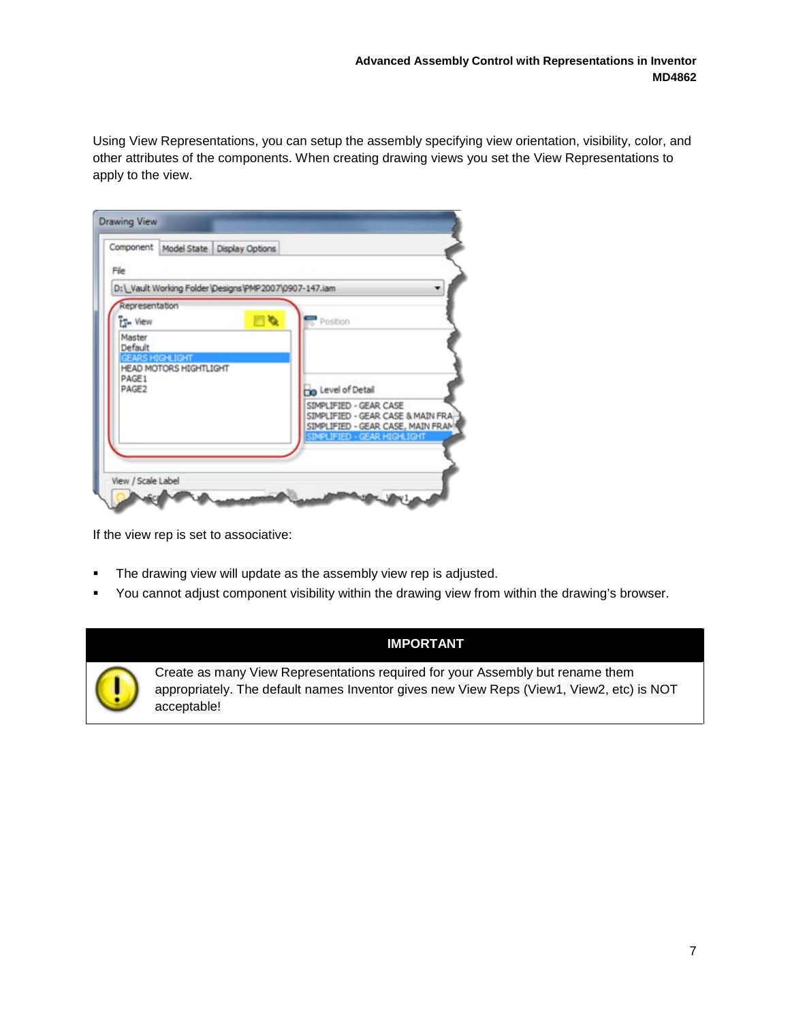Using View Representations, you can setup the assembly specifying view orientation, visibility, color, and other attributes of the components. When creating drawing views you set the View Representations to apply to the view.

|                                             |                                                  | Component Model State Display Options                   |                                                                                                  |
|---------------------------------------------|--------------------------------------------------|---------------------------------------------------------|--------------------------------------------------------------------------------------------------|
| File                                        |                                                  |                                                         |                                                                                                  |
|                                             |                                                  | D:\ Vault Working Folder Designs \PMP 2007\0907-147.iam |                                                                                                  |
| Representation<br><b>T<sub>2</sub></b> View |                                                  | $\blacksquare$                                          | Position                                                                                         |
| Master<br>Default                           |                                                  |                                                         |                                                                                                  |
|                                             | GEARS HIGHLIGHT<br><b>HEAD MOTORS HIGHTLIGHT</b> |                                                         |                                                                                                  |
| PAGE1<br>PAGE2                              |                                                  |                                                         | <b>The Level of Detail</b>                                                                       |
|                                             |                                                  |                                                         | SIMPLIFIED - GEAR CASE<br>SIMPLIFIED - GEAR CASE & MAIN FRA<br>SIMPLIFIED - GEAR CASE, MAIN FRAM |
|                                             |                                                  |                                                         | SIMPLIFIED - GEAR HIGHLIGHT                                                                      |
|                                             |                                                  |                                                         |                                                                                                  |

If the view rep is set to associative:

- **The drawing view will update as the assembly view rep is adjusted.**
- You cannot adjust component visibility within the drawing view from within the drawing's browser.

#### **IMPORTANT**



Create as many View Representations required for your Assembly but rename them appropriately. The default names Inventor gives new View Reps (View1, View2, etc) is NOT acceptable!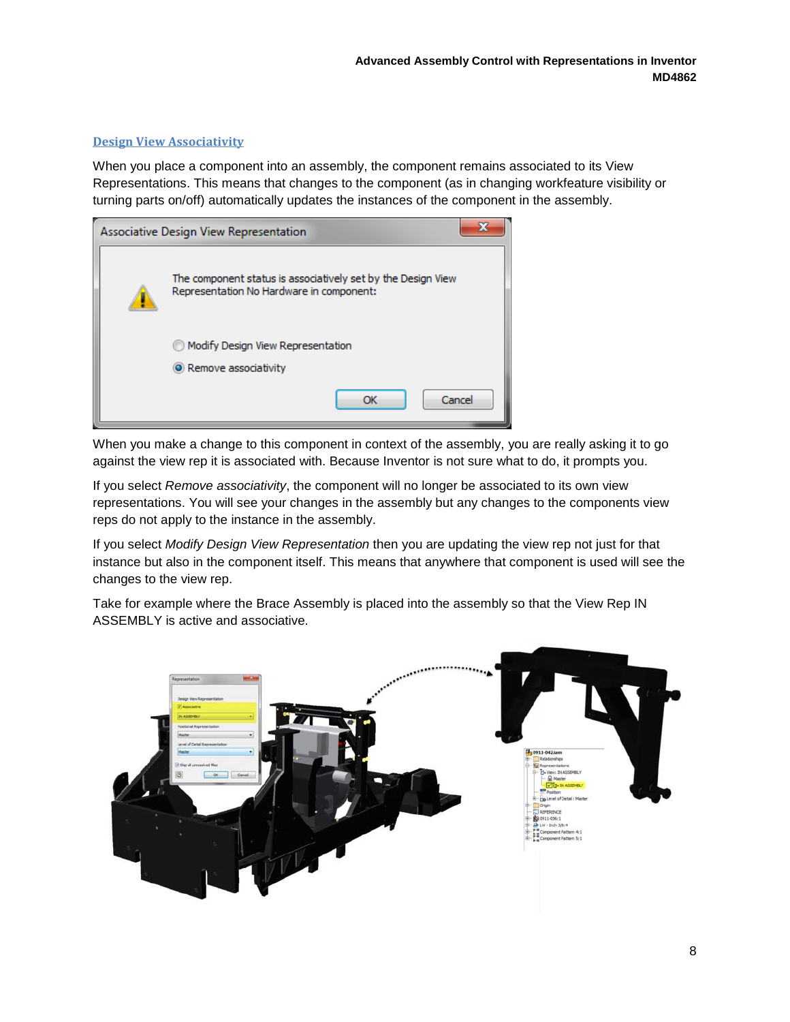#### <span id="page-7-0"></span>**Design View Associativity**

When you place a component into an assembly, the component remains associated to its View Representations. This means that changes to the component (as in changing workfeature visibility or turning parts on/off) automatically updates the instances of the component in the assembly.

| Associative Design View Representation |                                                                                                          |  |  |  |  |
|----------------------------------------|----------------------------------------------------------------------------------------------------------|--|--|--|--|
|                                        | The component status is associatively set by the Design View<br>Representation No Hardware in component: |  |  |  |  |
|                                        | @ Modify Design View Representation                                                                      |  |  |  |  |
|                                        | • Remove associativity                                                                                   |  |  |  |  |
|                                        | Cancel<br>ОК                                                                                             |  |  |  |  |

When you make a change to this component in context of the assembly, you are really asking it to go against the view rep it is associated with. Because Inventor is not sure what to do, it prompts you.

If you select *Remove associativity*, the component will no longer be associated to its own view representations. You will see your changes in the assembly but any changes to the components view reps do not apply to the instance in the assembly.

If you select *Modify Design View Representation* then you are updating the view rep not just for that instance but also in the component itself. This means that anywhere that component is used will see the changes to the view rep.

Take for example where the Brace Assembly is placed into the assembly so that the View Rep IN ASSEMBLY is active and associative.

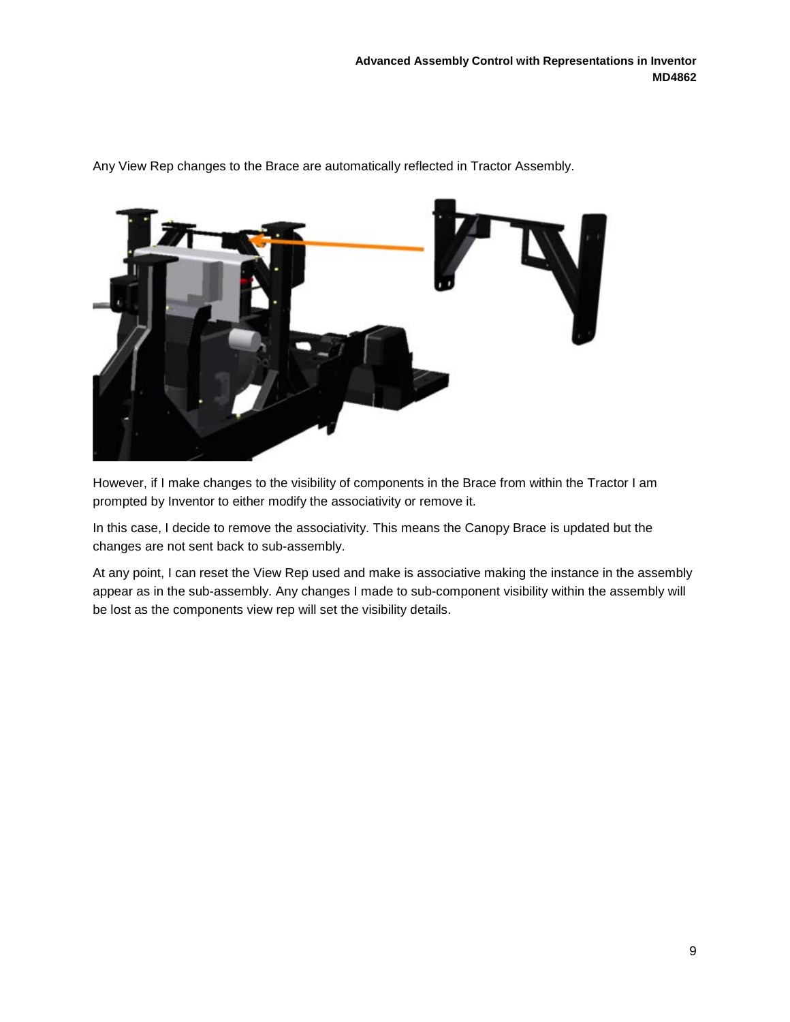

Any View Rep changes to the Brace are automatically reflected in Tractor Assembly.

However, if I make changes to the visibility of components in the Brace from within the Tractor I am prompted by Inventor to either modify the associativity or remove it.

In this case, I decide to remove the associativity. This means the Canopy Brace is updated but the changes are not sent back to sub-assembly.

At any point, I can reset the View Rep used and make is associative making the instance in the assembly appear as in the sub-assembly. Any changes I made to sub-component visibility within the assembly will be lost as the components view rep will set the visibility details.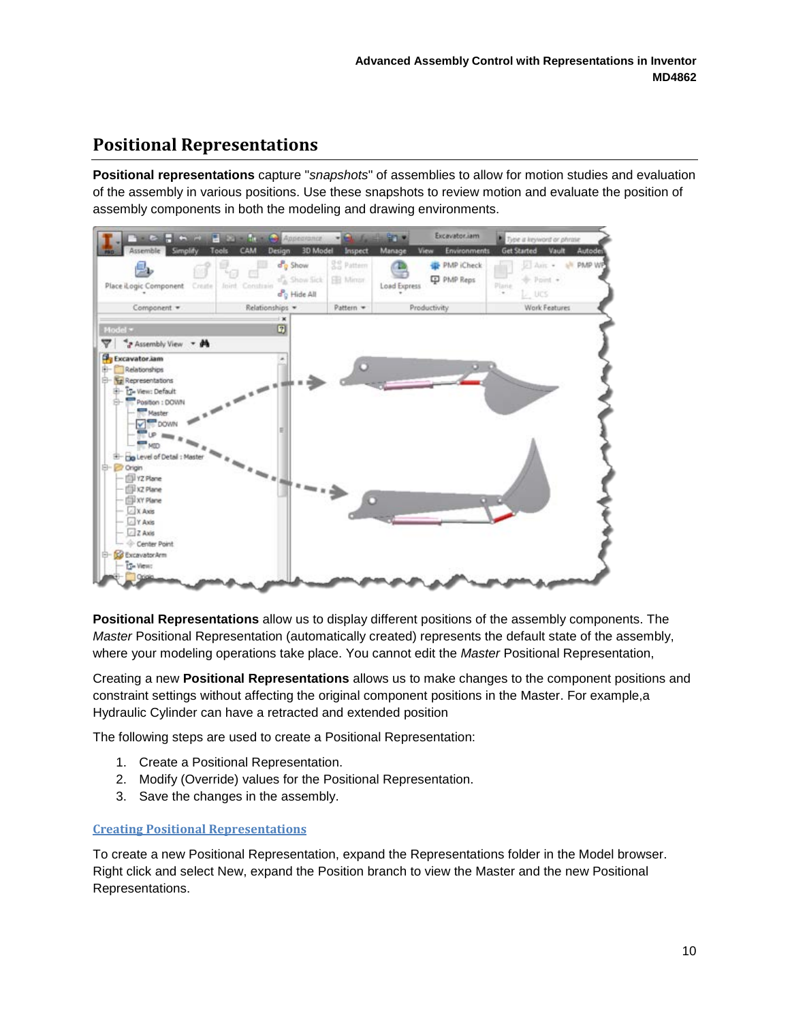### <span id="page-9-0"></span>**Positional Representations**

**Positional representations** capture "*snapshots*" of assemblies to allow for motion studies and evaluation of the assembly in various positions. Use these snapshots to review motion and evaluate the position of assembly components in both the modeling and drawing environments.



**Positional Representations** allow us to display different positions of the assembly components. The *Master* Positional Representation (automatically created) represents the default state of the assembly, where your modeling operations take place. You cannot edit the *Master* Positional Representation,

Creating a new **Positional Representations** allows us to make changes to the component positions and constraint settings without affecting the original component positions in the Master. For example,a Hydraulic Cylinder can have a retracted and extended position

The following steps are used to create a Positional Representation:

- 1. Create a Positional Representation.
- 2. Modify (Override) values for the Positional Representation.
- 3. Save the changes in the assembly.

#### <span id="page-9-1"></span>**Creating Positional Representations**

To create a new Positional Representation, expand the Representations folder in the Model browser. Right click and select New, expand the Position branch to view the Master and the new Positional Representations.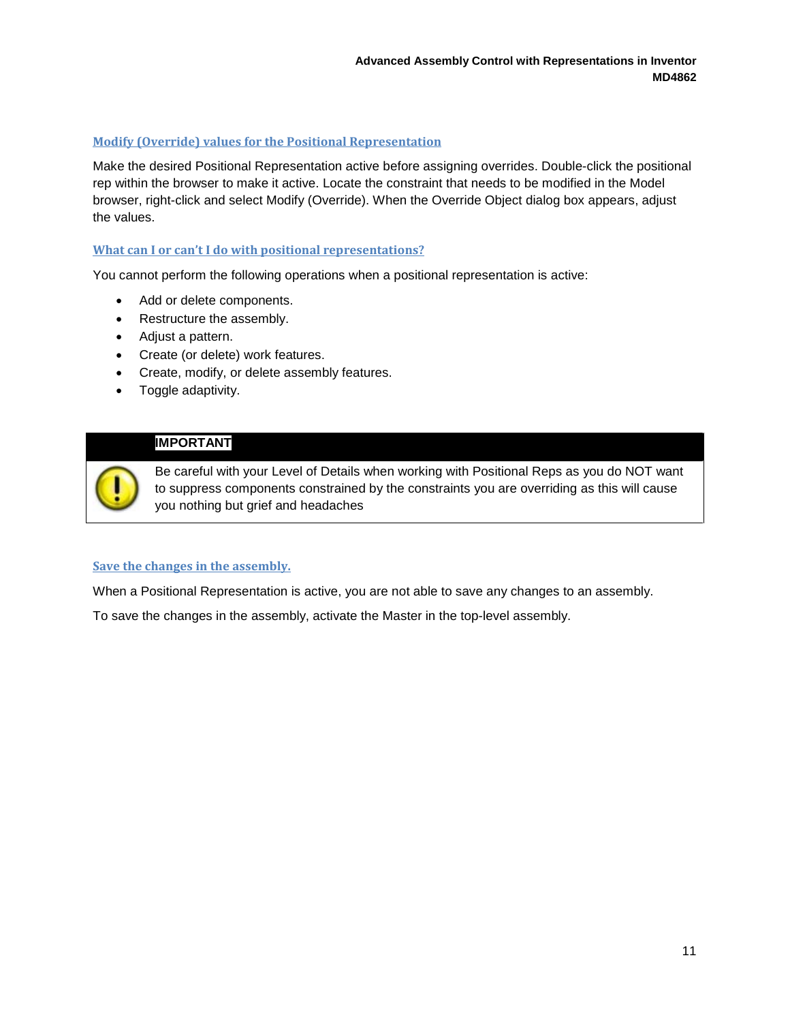#### <span id="page-10-0"></span>**Modify (Override) values for the Positional Representation**

Make the desired Positional Representation active before assigning overrides. Double-click the positional rep within the browser to make it active. Locate the constraint that needs to be modified in the Model browser, right-click and select Modify (Override). When the Override Object dialog box appears, adjust the values.

#### <span id="page-10-1"></span>**What can I or can't I do with positional representations?**

You cannot perform the following operations when a positional representation is active:

- Add or delete components.
- Restructure the assembly.
- Adjust a pattern.
- Create (or delete) work features.
- Create, modify, or delete assembly features.
- Toggle adaptivity.

#### **IMPORTANT**

Be careful with your Level of Details when working with Positional Reps as you do NOT want to suppress components constrained by the constraints you are overriding as this will cause you nothing but grief and headaches

#### <span id="page-10-2"></span>**Save the changes in the assembly.**

When a Positional Representation is active, you are not able to save any changes to an assembly.

To save the changes in the assembly, activate the Master in the top-level assembly.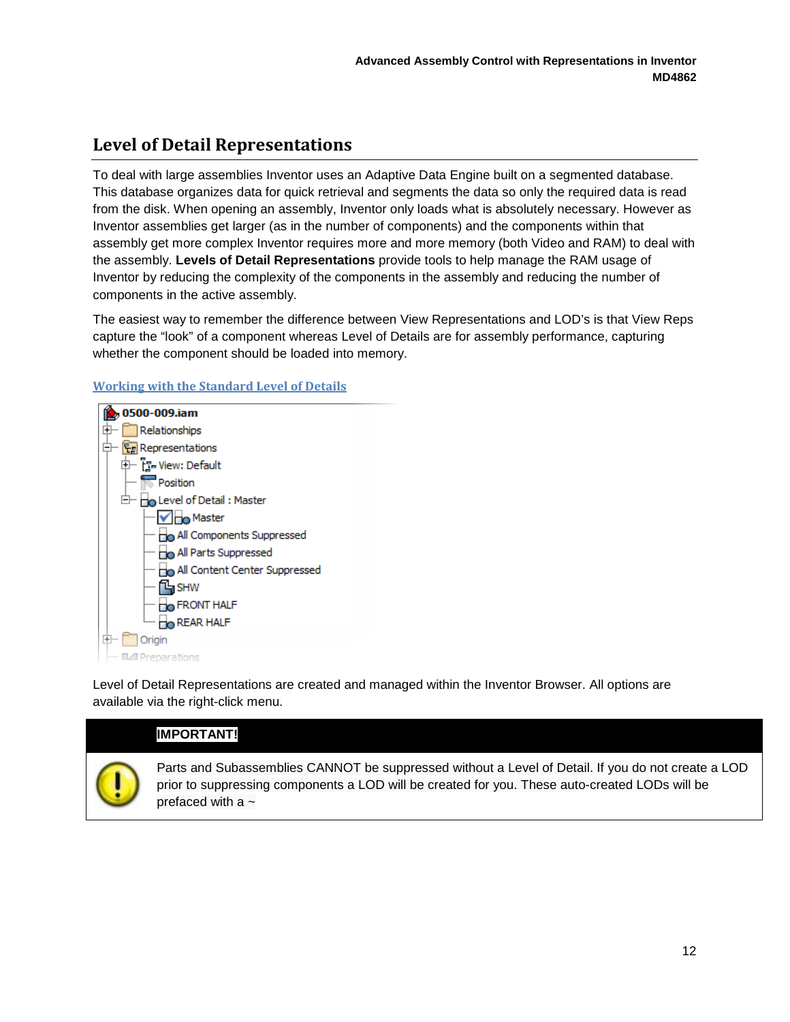# <span id="page-11-0"></span>**Level of Detail Representations**

To deal with large assemblies Inventor uses an Adaptive Data Engine built on a segmented database. This database organizes data for quick retrieval and segments the data so only the required data is read from the disk. When opening an assembly, Inventor only loads what is absolutely necessary. However as Inventor assemblies get larger (as in the number of components) and the components within that assembly get more complex Inventor requires more and more memory (both Video and RAM) to deal with the assembly. **Levels of Detail Representations** provide tools to help manage the RAM usage of Inventor by reducing the complexity of the components in the assembly and reducing the number of components in the active assembly.

The easiest way to remember the difference between View Representations and LOD's is that View Reps capture the "look" of a component whereas Level of Details are for assembly performance, capturing whether the component should be loaded into memory.



#### <span id="page-11-1"></span>**Working with the Standard Level of Details**

Level of Detail Representations are created and managed within the Inventor Browser. All options are available via the right-click menu.

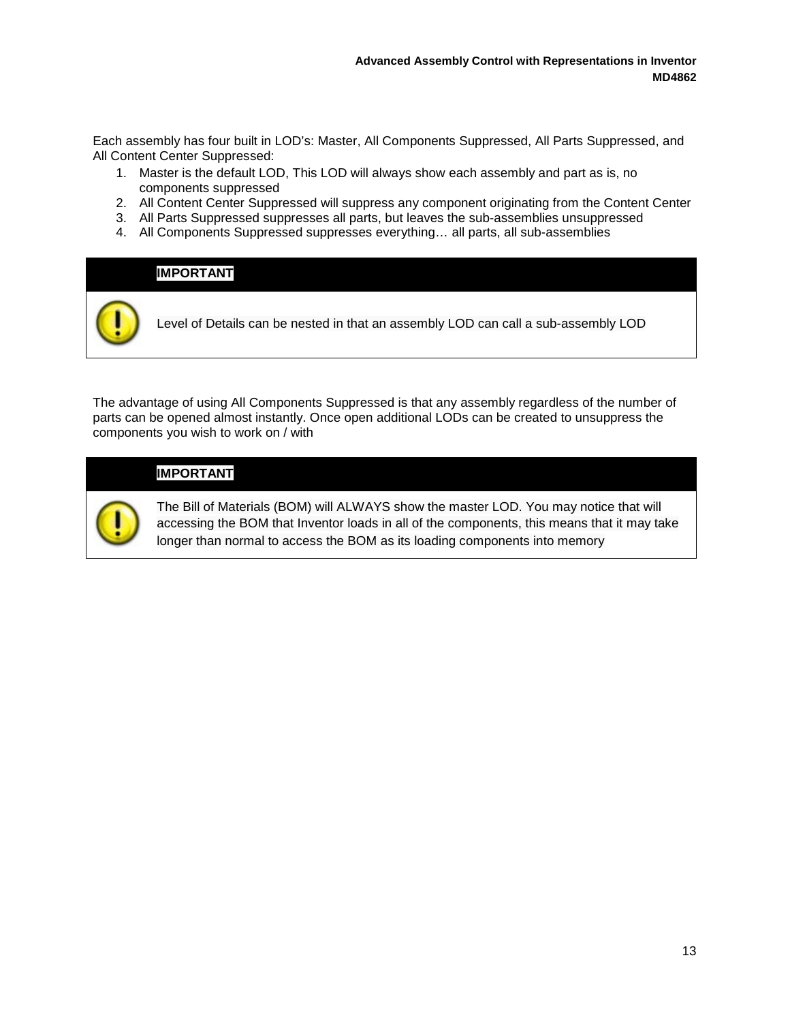Each assembly has four built in LOD's: Master, All Components Suppressed, All Parts Suppressed, and All Content Center Suppressed:

- 1. Master is the default LOD, This LOD will always show each assembly and part as is, no components suppressed
- 2. All Content Center Suppressed will suppress any component originating from the Content Center
- 3. All Parts Suppressed suppresses all parts, but leaves the sub-assemblies unsuppressed
- 4. All Components Suppressed suppresses everything… all parts, all sub-assemblies

## **IMPORTANT**

Level of Details can be nested in that an assembly LOD can call a sub-assembly LOD

The advantage of using All Components Suppressed is that any assembly regardless of the number of parts can be opened almost instantly. Once open additional LODs can be created to unsuppress the components you wish to work on / with

#### **IMPORTANT**



The Bill of Materials (BOM) will ALWAYS show the master LOD. You may notice that will accessing the BOM that Inventor loads in all of the components, this means that it may take longer than normal to access the BOM as its loading components into memory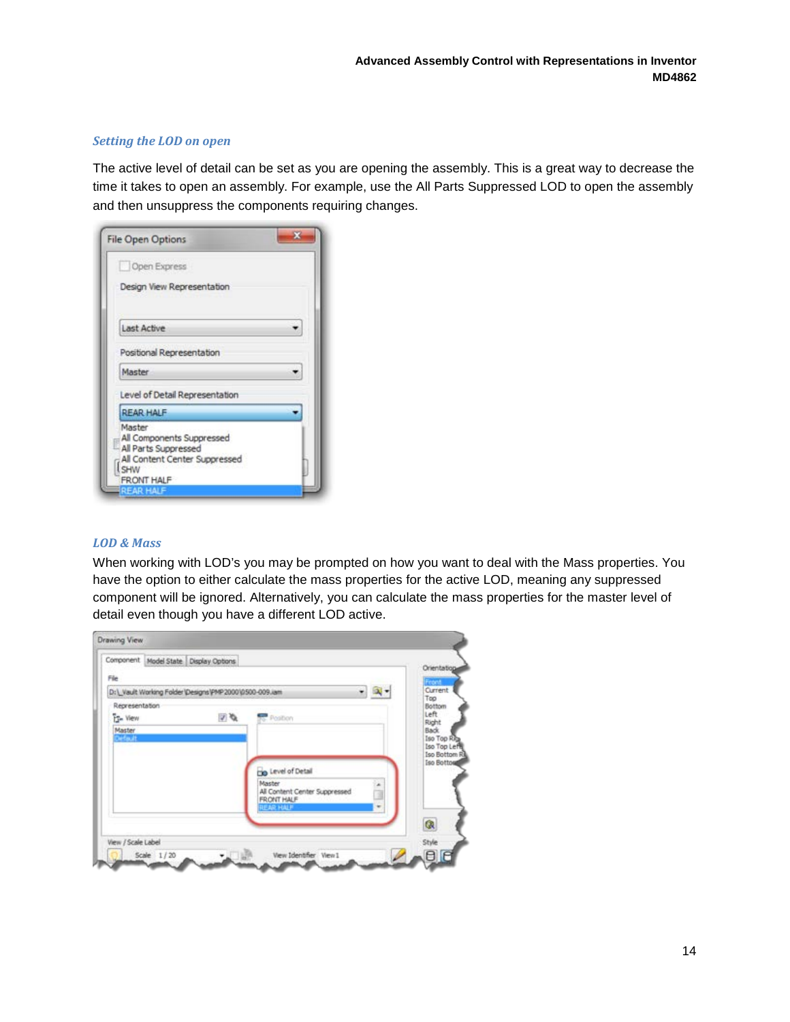#### *Setting the LOD on open*

The active level of detail can be set as you are opening the assembly. This is a great way to decrease the time it takes to open an assembly. For example, use the All Parts Suppressed LOD to open the assembly and then unsuppress the components requiring changes.

| <b>File Open Options</b>                                                                                          |  |
|-------------------------------------------------------------------------------------------------------------------|--|
| Open Express                                                                                                      |  |
| Design View Representation                                                                                        |  |
| <b>Last Active</b>                                                                                                |  |
| Positional Representation                                                                                         |  |
| Master                                                                                                            |  |
| Level of Detail Representation                                                                                    |  |
| <b>REAR HALF</b>                                                                                                  |  |
| Master<br>All Components Suppressed<br>All Parts Suppressed<br>All Content Center Suppressed<br>SHW<br>FRONT HALF |  |
| <b>EREAR HALF</b>                                                                                                 |  |

#### *LOD & Mass*

When working with LOD's you may be prompted on how you want to deal with the Mass properties. You have the option to either calculate the mass properties for the active LOD, meaning any suppressed component will be ignored. Alternatively, you can calculate the mass properties for the master level of detail even though you have a different LOD active.

|                | Component Model State Display Options                   |                                                                                                             | Orientation                                               |
|----------------|---------------------------------------------------------|-------------------------------------------------------------------------------------------------------------|-----------------------------------------------------------|
| File           |                                                         |                                                                                                             | Front                                                     |
|                | D:\ Vault Working Folder \Designs\PMP 2000\0500-009.iam |                                                                                                             | Current                                                   |
| Representation |                                                         |                                                                                                             | Top<br>Bottom                                             |
| File View      | V 6                                                     | <b>Poston</b>                                                                                               | Left<br>Right                                             |
|                |                                                         | <b>Do</b> Level of Detail<br>Master<br>All Content Center Suppressed<br>FRONT HALF<br><b>REAR HALF</b><br>× | Iso Top Left<br><b>Iso Bottom Rd</b><br><b>Iso Bottos</b> |
|                |                                                         |                                                                                                             | $\circledR$                                               |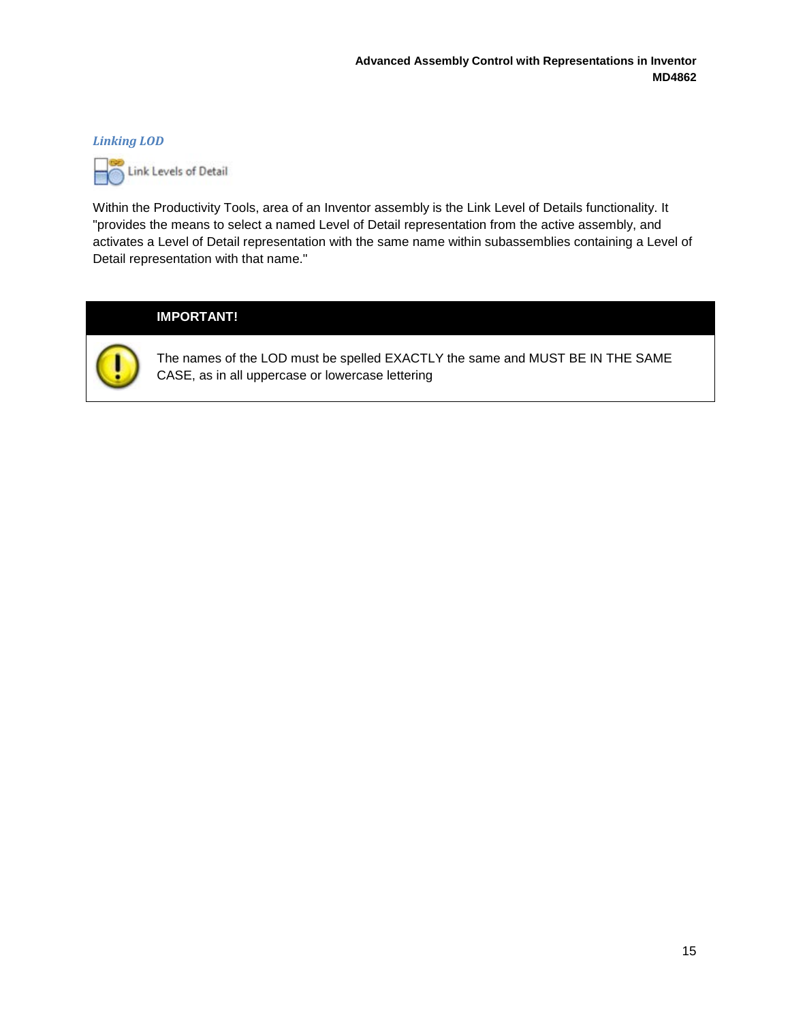#### *Linking LOD*



Within the Productivity Tools, area of an Inventor assembly is the Link Level of Details functionality. It "provides the means to select a named Level of Detail representation from the active assembly, and activates a Level of Detail representation with the same name within subassemblies containing a Level of Detail representation with that name."

#### **IMPORTANT!**



The names of the LOD must be spelled EXACTLY the same and MUST BE IN THE SAME CASE, as in all uppercase or lowercase lettering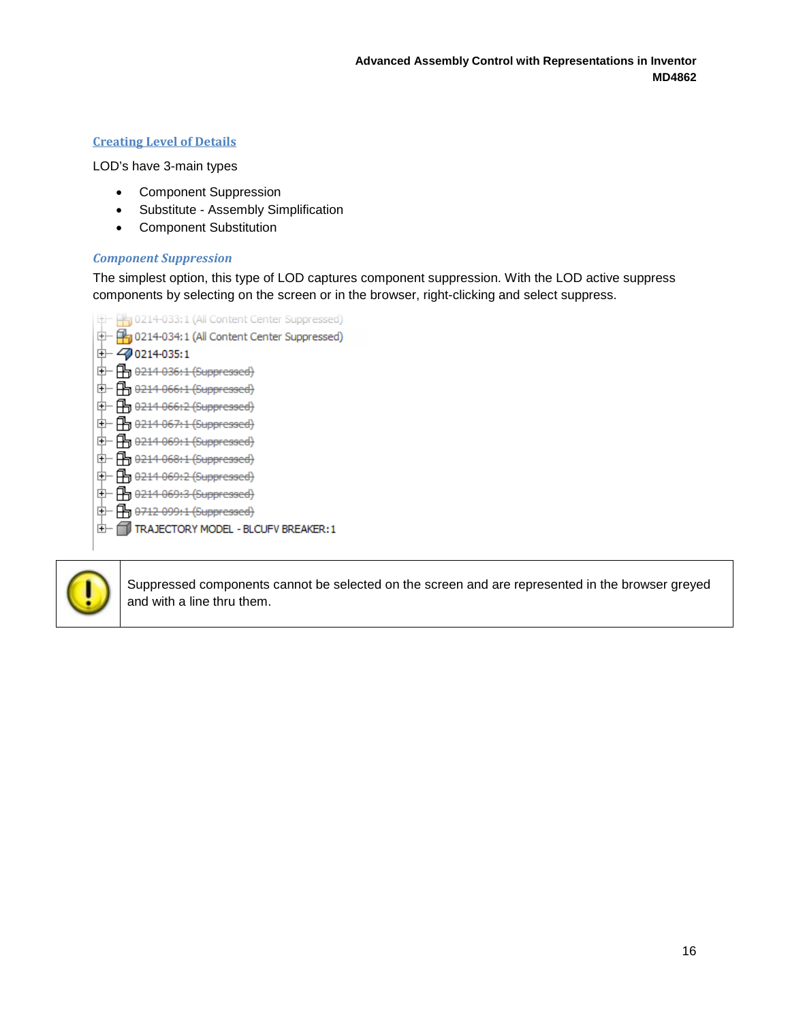#### <span id="page-15-0"></span>**Creating Level of Details**

LOD's have 3-main types

- Component Suppression
- Substitute Assembly Simplification
- Component Substitution

#### *Component Suppression*

The simplest option, this type of LOD captures component suppression. With the LOD active suppress components by selecting on the screen or in the browser, right-clicking and select suppress.

中 Hg 0214-033:1 (All Content Center Suppressed) <sup>+</sup> [<sup>4</sup><sub>1</sub> 0214-034:1 (All Content Center Suppressed)  $+$   $-2$  0214-035:1  $+$   $+$   $+$  0214 036:1 (Suppressed)  $+$   $+$   $+$  0214 066:1 (Suppressed) 中 円 0214 066:2 (Suppressed) 中 B 0214 067:1 (Suppressed)  $\oplus$   $\Box$  0214 069:1 (Suppressed)  $+$   $+$   $+$  0214 068:1 (Suppressed)  $\oplus$   $\Box$  0214 069:2 (Suppressed) 中 B 0214 069:3 (Suppressed)  $+$   $+$   $+$   $+$  0712 099:1 (Suppressed) TRAJECTORY MODEL - BLCUFV BREAKER: 1



Suppressed components cannot be selected on the screen and are represented in the browser greyed and with a line thru them.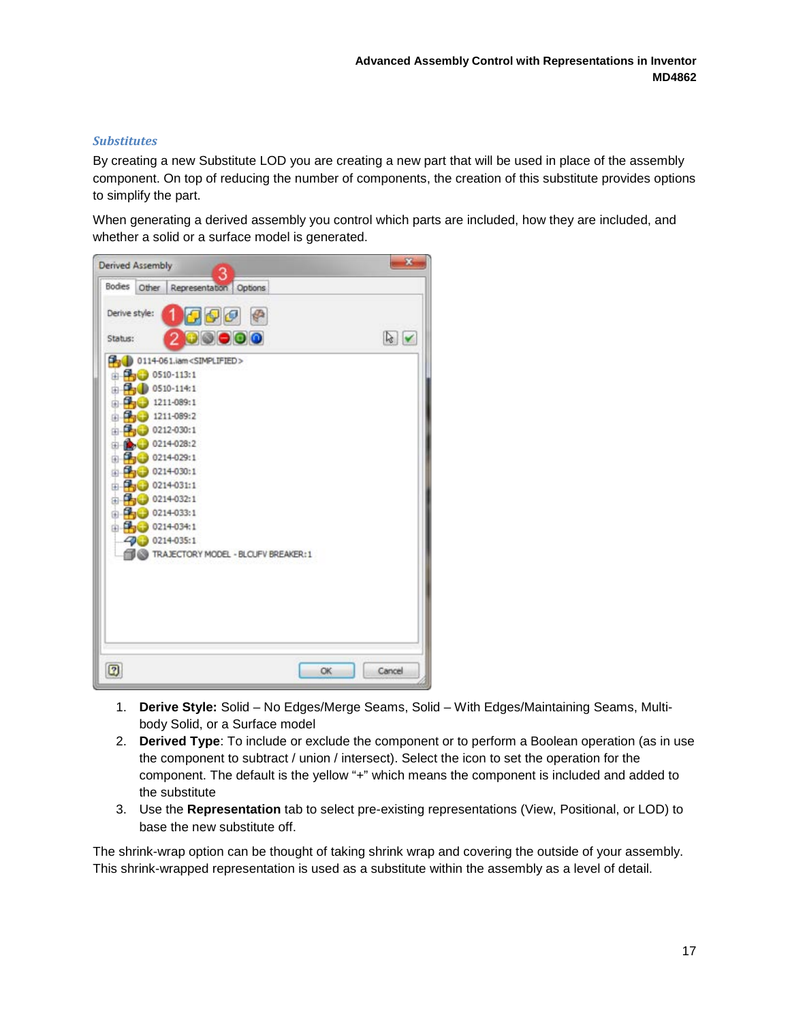#### *Substitutes*

By creating a new Substitute LOD you are creating a new part that will be used in place of the assembly component. On top of reducing the number of components, the creation of this substitute provides options to simplify the part.

When generating a derived assembly you control which parts are included, how they are included, and whether a solid or a surface model is generated.



- 1. **Derive Style:** Solid No Edges/Merge Seams, Solid With Edges/Maintaining Seams, Multibody Solid, or a Surface model
- 2. **Derived Type**: To include or exclude the component or to perform a Boolean operation (as in use the component to subtract / union / intersect). Select the icon to set the operation for the component. The default is the yellow "+" which means the component is included and added to the substitute
- 3. Use the **Representation** tab to select pre-existing representations (View, Positional, or LOD) to base the new substitute off.

The shrink-wrap option can be thought of taking shrink wrap and covering the outside of your assembly. This shrink-wrapped representation is used as a substitute within the assembly as a level of detail.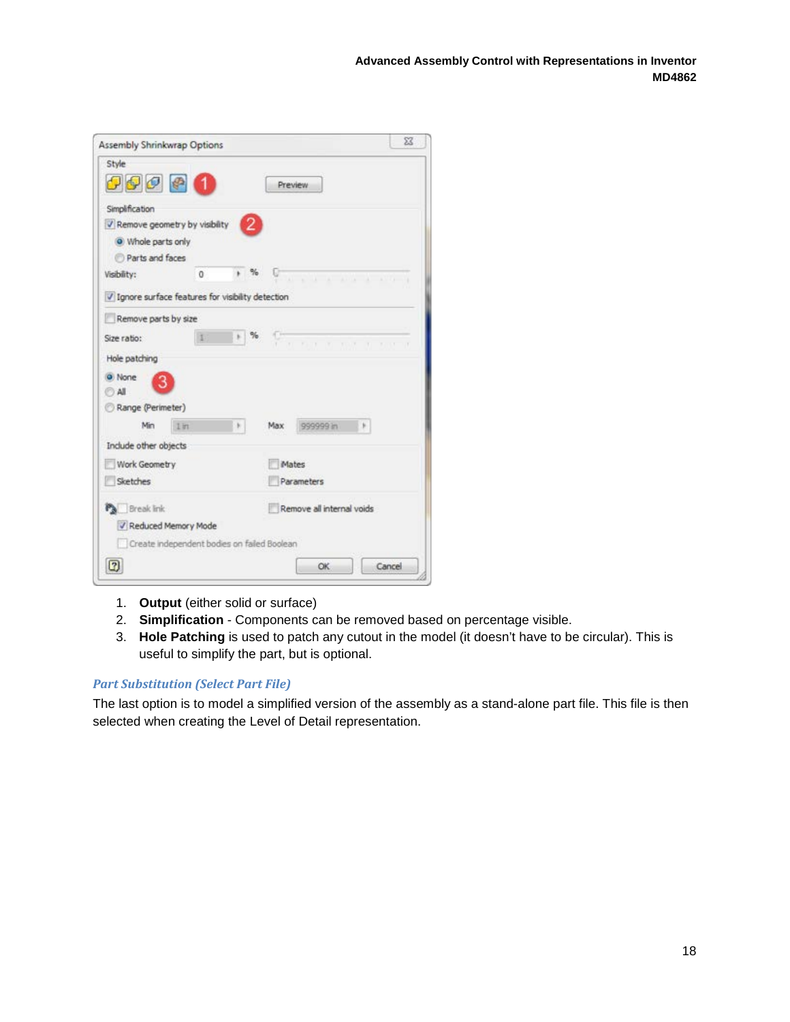| <b>Assembly Shrinkwrap Options</b>                 |                |   |            |                           | X      |
|----------------------------------------------------|----------------|---|------------|---------------------------|--------|
| Style<br>0000                                      |                |   |            | <b>Preview</b>            |        |
| Simplification<br>V Remove geometry by visibility  |                | 2 |            |                           |        |
| O Whole parts only                                 |                |   |            |                           |        |
| Parts and faces                                    |                |   |            |                           |        |
| Visibility:                                        | 0              |   |            |                           |        |
| V Ignore surface features for visibility detection |                |   |            |                           |        |
| Remove parts by size                               |                |   |            |                           |        |
| Size ratio:                                        |                |   | $\%$       | <b>Communication</b>      |        |
| Hole patching                                      |                |   |            |                           |        |
| None<br><b>All</b>                                 |                |   |            |                           |        |
| Range (Perimeter)                                  |                |   |            |                           |        |
| Min                                                | $1 \text{ in}$ |   | Max        | 999999 in<br>×            |        |
| Include other objects                              |                |   |            |                           |        |
| Work Geometry                                      |                |   |            | Mates                     |        |
| Sketches                                           |                |   | Parameters |                           |        |
| <b>Pa</b> Break link                               |                |   |            | Remove all internal voids |        |
| V Reduced Memory Mode                              |                |   |            |                           |        |
| Create independent bodies on failed Boolean        |                |   |            |                           |        |
| $\bm{\mathbb{E}}$                                  |                |   |            | OK                        | Cancel |
|                                                    |                |   |            |                           |        |

- 1. **Output** (either solid or surface)
- 2. **Simplification**  Components can be removed based on percentage visible.
- 3. **Hole Patching** is used to patch any cutout in the model (it doesn't have to be circular). This is useful to simplify the part, but is optional.

#### *Part Substitution (Select Part File)*

The last option is to model a simplified version of the assembly as a stand-alone part file. This file is then selected when creating the Level of Detail representation.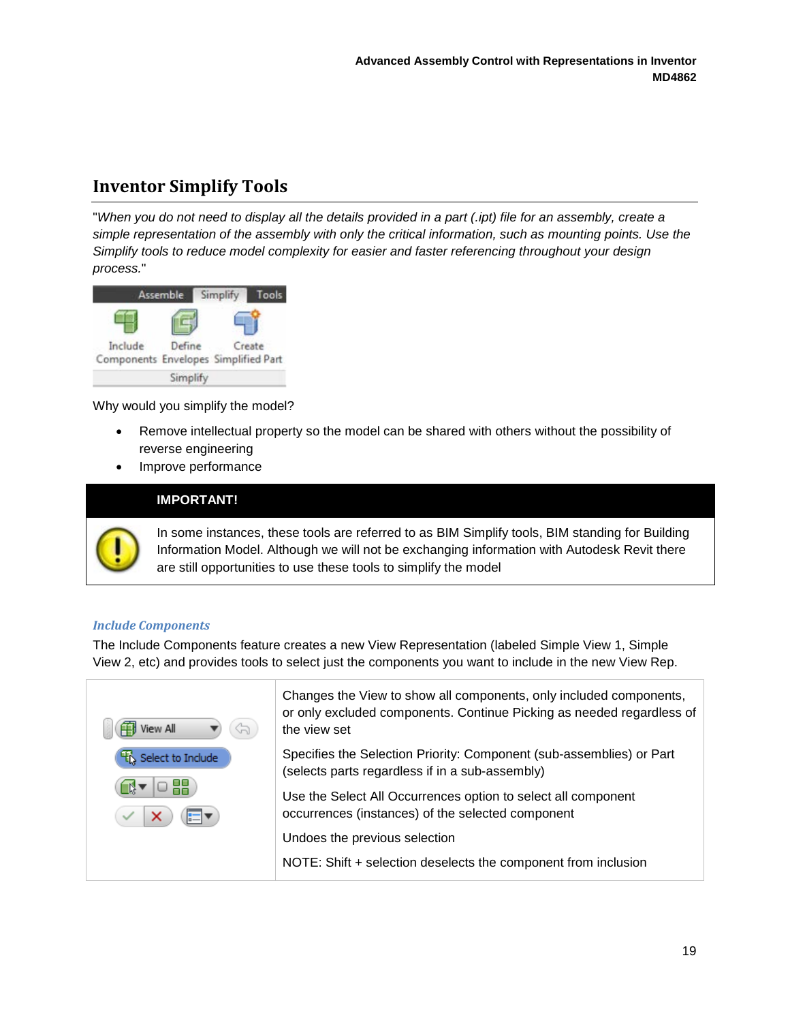# <span id="page-18-0"></span>**Inventor Simplify Tools**

"*When you do not need to display all the details provided in a part (.ipt) file for an assembly, create a simple representation of the assembly with only the critical information, such as mounting points. Use the Simplify tools to reduce model complexity for easier and faster referencing throughout your design process.*"



Why would you simplify the model?

- Remove intellectual property so the model can be shared with others without the possibility of reverse engineering
- Improve performance

#### **IMPORTANT!**



In some instances, these tools are referred to as BIM Simplify tools, BIM standing for Building Information Model. Although we will not be exchanging information with Autodesk Revit there are still opportunities to use these tools to simplify the model

#### *Include Components*

The Include Components feature creates a new View Representation (labeled Simple View 1, Simple View 2, etc) and provides tools to select just the components you want to include in the new View Rep.



Changes the View to show all components, only included components, or only excluded components. Continue Picking as needed regardless of the view set

Specifies the Selection Priority: Component (sub-assemblies) or Part (selects parts regardless if in a sub-assembly)

Use the Select All Occurrences option to select all component occurrences (instances) of the selected component

Undoes the previous selection

NOTE: Shift + selection deselects the component from inclusion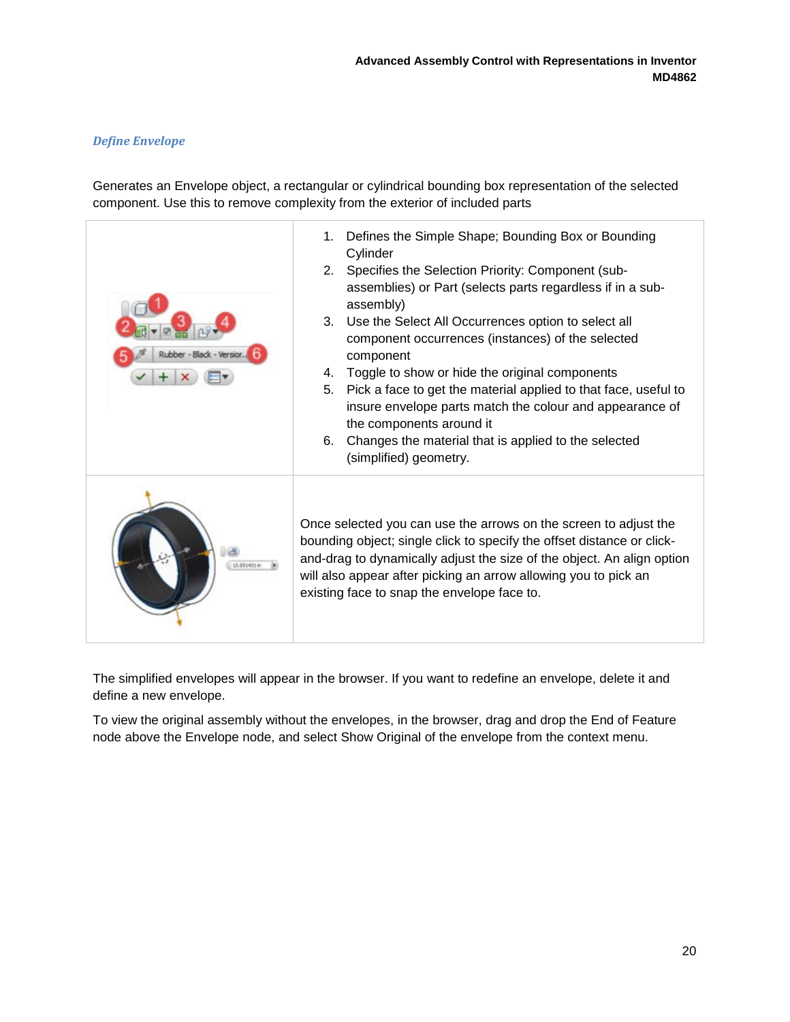#### *Define Envelope*

Generates an Envelope object, a rectangular or cylindrical bounding box representation of the selected component. Use this to remove complexity from the exterior of included parts



The simplified envelopes will appear in the browser. If you want to redefine an envelope, delete it and define a new envelope.

To view the original assembly without the envelopes, in the browser, drag and drop the End of Feature node above the Envelope node, and select Show Original of the envelope from the context menu.